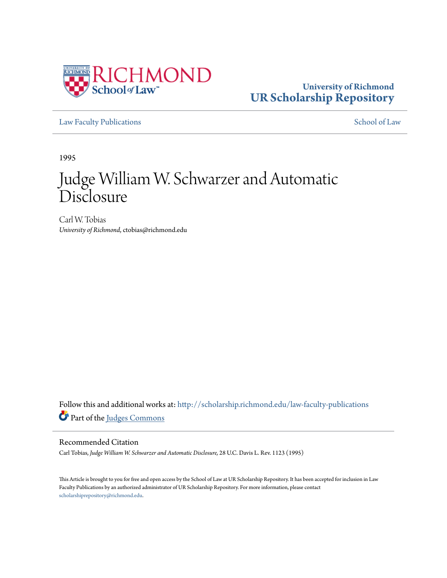

### **University of Richmond [UR Scholarship Repository](http://scholarship.richmond.edu?utm_source=scholarship.richmond.edu%2Flaw-faculty-publications%2F837&utm_medium=PDF&utm_campaign=PDFCoverPages)**

[Law Faculty Publications](http://scholarship.richmond.edu/law-faculty-publications?utm_source=scholarship.richmond.edu%2Flaw-faculty-publications%2F837&utm_medium=PDF&utm_campaign=PDFCoverPages) [School of Law](http://scholarship.richmond.edu/law?utm_source=scholarship.richmond.edu%2Flaw-faculty-publications%2F837&utm_medium=PDF&utm_campaign=PDFCoverPages)

1995

# Judge William W. Schwarzer and Automatic Disclosure

Carl W. Tobias *University of Richmond*, ctobias@richmond.edu

Follow this and additional works at: [http://scholarship.richmond.edu/law-faculty-publications](http://scholarship.richmond.edu/law-faculty-publications?utm_source=scholarship.richmond.edu%2Flaw-faculty-publications%2F837&utm_medium=PDF&utm_campaign=PDFCoverPages) Part of the [Judges Commons](http://network.bepress.com/hgg/discipline/849?utm_source=scholarship.richmond.edu%2Flaw-faculty-publications%2F837&utm_medium=PDF&utm_campaign=PDFCoverPages)

#### Recommended Citation

Carl Tobias, *Judge William W. Schwarzer and Automatic Disclosure,* 28 U.C. Davis L. Rev. 1123 (1995)

This Article is brought to you for free and open access by the School of Law at UR Scholarship Repository. It has been accepted for inclusion in Law Faculty Publications by an authorized administrator of UR Scholarship Repository. For more information, please contact [scholarshiprepository@richmond.edu.](mailto:scholarshiprepository@richmond.edu)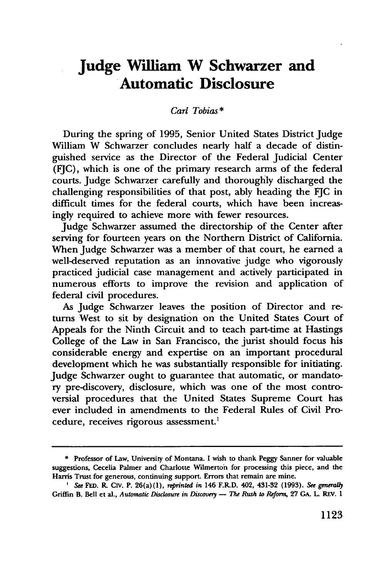## **Judge William W Schwarzer and Automatic Disclosure**

#### *Carl Tobias\**

During the spring of 1995, Senior United States District Judge William W Schwarzer concludes nearly half a decade of distinguished service as the Director of the Federal Judicial Center (FJC), which is one of the primary research arms of the federal courts. Judge Schwarzer carefully and thoroughly discharged the challenging responsibilities of that post, ably heading the FJC in difficult times for the federal courts, which have been increasingly required to achieve more with fewer resources.

Judge Schwarzer assumed the directorship of the Center after serving for fourteen years on the Northern District of California. When Judge Schwarzer was a member of that court, he earned a well-deserved reputation as an innovative judge who vigorously practiced judicial case management and actively participated in numerous efforts to improve the revision and application of federal civil procedures.

As Judge Schwarzer leaves the position of Director and returns West to sit by designation on the United States Court of Appeals for the Ninth Circuit and to teach part-time at Hastings College of the Law in San Francisco, the jurist should focus his considerable energy and expertise on an important procedural development which he was substantially responsible for initiating. Judge Schwarzer ought to guarantee that automatic, or mandatory pre-discovery, disclosure, which was one of the most controversial procedures that the United States Supreme Court has ever included in amendments to the Federal Rules of Civil Procedure, receives rigorous assessment.<sup>1</sup>

<sup>\*</sup> Professor of Law, University of Montana. I wish to thank Peggy Sanner for valuable suggestions, Cecelia Palmer and Charlotte Wilmerton for processing this piece, and the Harris Trust for generous, continuing support. Errors that remain are mine.

<sup>&#</sup>x27; *See* FED. R CIV. P. 26(a)(l), reprinted in 146 F.R.D. 402, 431-32 (1993). *See gmerally*  Griffin B. Bell et al., *Automatic Disclosure in Discovery - The Rush to Reform*, 27 GA. L. REV. 1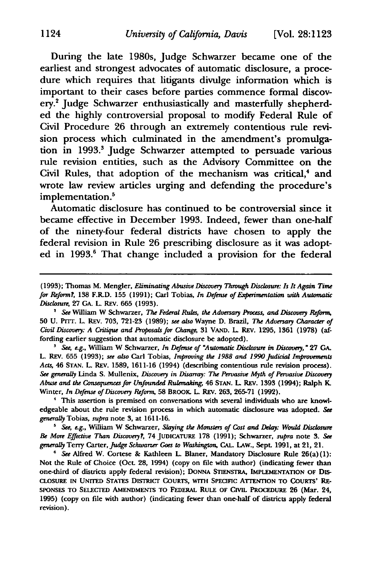During the late 1980s, Judge Schwarzer became one of the earliest and strongest advocates of automatic disclosure, a procedure which requires that litigants divulge information which is important to their cases before parties commence formal discovery.2 Judge Schwarzer enthusiastically and masterfully shepherded the highly controversial proposal to modify Federal Rule of Civil Procedure 26 through an extremely contentious rule revision process which culminated in the amendment's promulgation in 1993.<sup>3</sup> Judge Schwarzer attempted to persuade various rule revision entities, such as the Advisory Committee on the Civil Rules, that adoption of the mechanism was critical, $4$  and wrote law review articles urging and defending the procedure's implementation.<sup>5</sup>

Automatic disclosure has continued to be controversial since it became effective in December 1993. Indeed, fewer than one-half of the ninety-four federal districts have chosen to apply the federal revision in Rule 26 prescribing disclosure as it was adopted in 1993.<sup>6</sup> That change included a provision for the federal

50 U. Prrr. L. REv. 703, 721-23 (1989); *see also* Wayne D. Brazil, *The Adversary Character of Civil Discovery: A Critique and Proposals fur Change,* 31 VAND. L. REv. 1295, 1361 (1978) (affording earlier suggestion that automatic disclosure be adopted).

<sup>3</sup> See, e.g., William W Schwarzer, *In Defense of "Automatic Disclosure in Discovery*," 27 GA. L. REv. 655 (1993); *see also* Carl Tobias, *Improving the 1988 and 1990 judicial Improvements Acts,* 46 STAN. L. REv. 1589, 1611-16 (1994) (describing contentious rule revision process). *See generally* Linda S. Mullenix, *Discovery in Disarray: The Peroasive Myth of Peroasive Discovery Abuse and the* Consequences *fur Unfounded Rulemaking,* 46 STAN. L. REv. 1393 (1994); Ralph K. Winter, *In Defense of Discovery Refonn,* 58 BROOK. L. REv. 263, 265-71 (1992).

' This assertion is premised on conversations with several individuals who are knowledgeable about the rule revision process in which automatic disclosure was adopted. *See generally* Tobias, *supra* note 3, at 1611-16. 5 *See, e.g.,* William W Schwarzer, *Slaying the Monsters of Cost and Delay: Would Disclosure* 

& *More Effective Than Discovery1,* 74 JUDICATURE 178 (1991); Schwarzer, *supra* note 3. See *generally* Terry Carter, judge *Schwarzer* Goes *to Washington,* CAL. LAW., SepL 1991, at 21, 21.

• See Alfred W. Cortese & Kathleen L. Blaner, Mandatory Disclosure Rule 26(a) (1): Not the Rule of Choice (OcL 28, 1994) (copy on file with author) (indicating fewer than one-third of districts apply federal revision); DONNA STIENSTRA, IMPLEMENTATION OF DIS-CLOSURE IN UNITED STATES DISTRICT CoURTS, WITH SPECIFIC ATTENTION TO CoURTS' RE-SPONSES TO SELECTED AMENDMENTS TO FEDERAL RULE OF CIVIL PROCEDURE 26 (Mar. 24, 1995) (copy on file with author) (indicating fewer than one-half of districts apply federal revision).

<sup>(1993);</sup> Thomas M. Mengler, *Eliminating Abusive Discovery Through Disclosure: Is It Again Time fur Refurm1,* 138 F.R.D. 155 (1991); Carl Tobias, *In Defense of &perimentation with Automatic Disclosure,* 27 GA. L. REV. 665 (1993).<br><sup>2</sup> *See* William W Schwarzer, *The Federal Rules, the Adversary Process, and Discovery Reform,*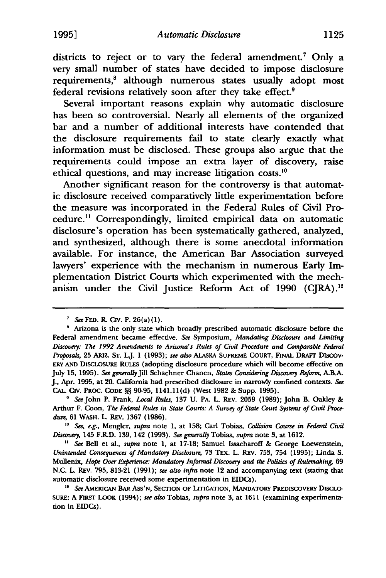districts to reject or to vary the federal amendment.<sup>7</sup> Only a very small number of states have decided to impose disclosure requirements,<sup>8</sup> although numerous states usually adopt most federal revisions relatively soon after they take effect.<sup>9</sup>

Several important reasons explain why automatic disclosure has been so controversial. Nearly all elements of the organized bar and a number of additional interests have contended that the disclosure requirements fail to state clearly exactly what information must be disclosed. These groups also argue that the requirements could impose an extra layer of discovery, raise ethical questions, and may increase litigation costs.<sup>10</sup>

Another significant reason for the controversy is that automatic disclosure received comparatively little experimentation before the measure was incorporated in the Federal Rules of Civil Procedure.11 Correspondingly, limited empirical data on automatic disclosure's operation has been systematically gathered, analyzed, and synthesized, although there is some anecdotal information available. For instance, the American Bar Association surveyed lawyers' experience with the mechanism in numerous Early Implementation District Courts which experimented with the mechanism under the Civil Justice Reform Act of 1990 (CJRA).<sup>12</sup>

<sup>10</sup> See, e.g., Mengler, *supra* note 1, at 158; Carl Tobias, Collision Course in Federal Civil *DisCflllery,* 145 F.RD. 139, 142 (1993). *See gmerally* Tobias, *supra* note 3, at 1612. 11 *See* Bell et al., *supra* note 1, at 17-18; Samuel Issacharoff & George Loewenstein,

*Unintended Consequences of Mandatory Disclosure,* 73 TEX. L. REv. 753, 754 (1995); Linda S. Mullenix, *Hope Over Experience: Mandatory lnfurmal Discuvery and the Politics of Rulemaking,* 69 N.C. L REv. 795, 813-21 (1991); *see also infra* note 12 and accompanying text (stating that automatic disclosure received some experimentation in EIDCs). 12 *See* AMERICAN BAR Ass'N, SECTION OF LITIGATION, MANDATORY PREDISCOVERY DISCLO-

<sup>&</sup>lt;sup>7</sup> See FED. R. CIV. P. 26(a)(1).<br><sup>8</sup> Arizona is the only state which broadly prescribed automatic disclosure before the Federal amendment became effective. *See* Symposium, *Mandating Disclosure and Limiting DisCflllery: The 1992 Amendments to Arizona's Rules of Civil Procedure and Comparable Federal Proposals,* 25 ARIZ. ST. LJ. 1 (1993); *see also* AlAsKA SUPREME COURT, FINAL DRAFT DISCOV· ERY AND DISCLOSURE RULES (adopting disclosure procedure which will become effective on July 15, 1995). *See gmerally* Jill Schachner Chanen, *States Considering Discuvery Refurm,* A.BA J., Apr. 1995, at 20. California had prescribed disclosure in narrowly confined contexts. *See*  CAL. CIV. PROC. CODE§§ 90-95, 1141.ll(d) (West 1982 & Supp. 1995). 9 *See* John P. Frank, *Local Rules,* 137 U. PA. L. REv. 2059 (1989); John B. Oakley &

Arthur F. Coon, *The Federal Rules in State Courts: A Survey of State Court Systems of Civil Proce*dure, 61 WASH. L. REV. 1367 (1986).

SURE: A FIRST LoOK (1994); *see also* Tobias, *supra* note 3, at 1611 (examining experimentation in EIDCs).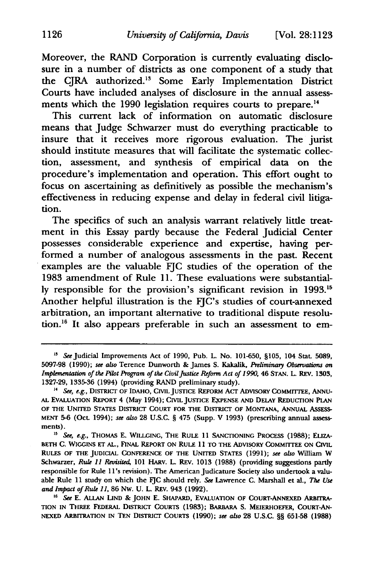Moreover, the RAND Corporation is currently evaluating disclosure in a number of districts as one component of a study that the CJRA authorized.<sup>13</sup> Some Early Implementation District Courts have included analyses of disclosure in the annual assessments which the 1990 legislation requires courts to prepare.<sup>14</sup>

This current lack of information on automatic disclosure means that Judge Schwarzer must do everything practicable to insure that it receives more rigorous evaluation. The jurist should institute measures that will facilitate the systematic collection, assessment, and synthesis of empirical data on the procedure's implementation and operation. This effort ought to focus on ascertaining as definitively as possible the mechanism's effectiveness in reducing expense and delay in federal civil litigation.

The specifics of such an analysis warrant relatively little treatment in this Essay partly because the Federal Judicial Center possesses considerable experience and expertise, having performed a number of analogous assessments in the past. Recent examples are the valuable FJC studies of the operation of the 1983 amendment of Rule 11. These evaluations were substantially responsible for the provision's significant revision in 1993.15 Another helpful illustration is the FJC's studies of court-annexed arbitration, an important alternative to traditional dispute resolution.<sup>16</sup> It also appears preferable in such an assessment to em-

<sup>&</sup>lt;sup>13</sup> See Judicial Improvements Act of 1990, Pub. L. No. 101-650, §105, 104 Stat. 5089, 5097-98 (1990); *see also* Terence Dunworth & James S. Kakalik, *Preliminary Observations on Implementation of the Pilot Program of the Civil Justice Reform Act of 1990, 46 STAN. L. REV. 1303,* 1327-29, 1335-36 (1994) (providing RAND preliminary study). 14 *See, e.g.,* DISTRICT OF IDAHO, CML JUSTICE REFoRM ACT ADVISORY COMMITTEE, ANNU-

AL EVALUATION REPORT 4 (May 1994); CIVIL JUSTICE EXPENSE AND DELAY REDUCTION PLAN OF THE UNITED STATES DISTRICT COURT FOR THE DISTRICT OF MONTANA, ANNUAL AssESS-MENT 5-6 (Oct 1994); *see also* 28 U.S.C. § 475 (Supp. V 1993) (prescribing annual assessments).

<sup>&</sup>lt;sup>15</sup> See, e.g., THOMAS E. WILLGING, THE RULE 11 SANCTIONING PROCESS (1988); ELIZA-BETH C. WIGGINS ET AL., FINAL REPORT ON RULE 11 TO THE ADVISORY CoMMITfEE ON CML RULES OF THE JUDICIAL CoNFERENCE OF THE UNITED STATES (1991); *see also* William w Schwarzer, Rule 11 *Revisited,* 101 HARV. L. REv. 1013 (1988) (providing suggestions partly responsible for Rule 11's revision). The American Judicature Society also undertook a valuable Rule 11 study on which the FJC should rely. *See* Lawrence C. Marshall et al., *The Use*  and *Impact of Rule 11*, 86 Nw. U. L. REV. 943 (1992).<br><sup>16</sup> *See* E. ALLAN LIND & JOHN E. SHAPARD, EVALUATION OF COURT-ANNEXED ARBITRA-

TION IN THREE FEDERAL DISTRICT COURTS (1983); BARBARA S. MEIERHOEFER, CoURT-AN-NEXED ARBITRATION JN TEN DISTRICT COURTS (1990); *see also* 28 u.s.c. §§ 651-58 (1988)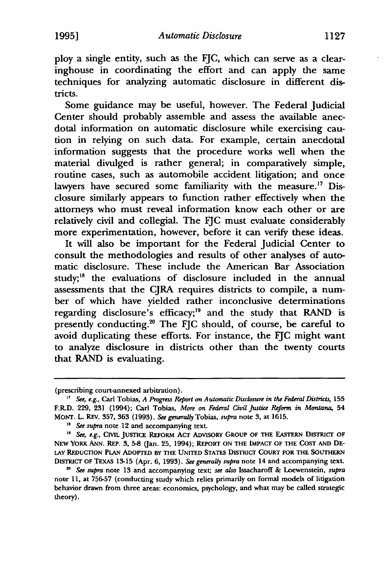ploy a single entity, such as the FJC, which can serve as a clearinghouse in coordinating the effort and can apply the same techniques for analyzing automatic disclosure in different districts.

Some guidance may be useful, however. The Federal Judicial Center should probably assemble and assess the available anecdotal information on automatic disclosure while exercising caution in relying on such data. For example, certain anecdotal information suggests that the procedure works well when the material divulged is rather general; in comparatively simple, routine cases, such as automobile accident litigation; and once lawyers have secured some familiarity with the measure.<sup>17</sup> Disclosure similarly appears to function rather effectively when the attorneys who must reveal information know each other or are relatively civil and collegial. The FJC must evaluate considerably more experimentation, however, before it can verify these ideas.

It will also be important for the Federal Judicial Center to consult the methodologies and results of other analyses of automatic disclosure. These include the American Bar Association study;<sup>18</sup> the evaluations of disclosure included in the annual assessments that the CJRA requires districts to compile, a number of which have yielded rather inconclusive determinations regarding disclosure's efficacy;19 and the study that RAND is presently conducting.20 The FJC should, of course, be careful to avoid duplicating these efforts. For instance, the FJC might want to analyze disclosure in districts other than the twenty courts that RAND is evaluating.

<sup>(</sup>prescribing court-annexed arbitration). 17 *See, e.g.,* Carl Tobias, *A Progress Report on Automatic Disclosure* in *the Federal Districts,* <sup>155</sup> F.R.D. 229, 231 (1994); Carl Tobias, *More on Federal Civil justice Refurm* in *Montana,* 54 MONT. L. REv. 357, 363 (1993). *See generally* Tobias, *supra* note 3, at 1615.<br><sup>18</sup> *See supra* note 12 and accompanying text.<br><sup>19</sup> *See, e.g.*, CIVIL JUSTICE REFORM ACT ADVISORY GROUP OF THE EASTERN DISTRICT OF

NEW YORK ANN. REP. 3, 5-8 (Jan. 25, 1994); REPORT ON THE IMPACT OF THE COST AND DE-LAY REDUCTION PLAN ADOPTED BY THE UNITED STATES DISTRICT CoURT FOR THE SOUTHERN DISTRICT OF TEXAS 13-15 (Apr. 6, 1993). *See generally supra* note 14 and accompanying texL 20 *See supra* note 13 and accompanying text; *see also* IssacharofI & Loewenstein, *supra* 

note 11, at 756-57 (conducting study which relies primarily on formal models of litigation behavior drawn from three areas: economics, psychology, and what may be called strategic theory).